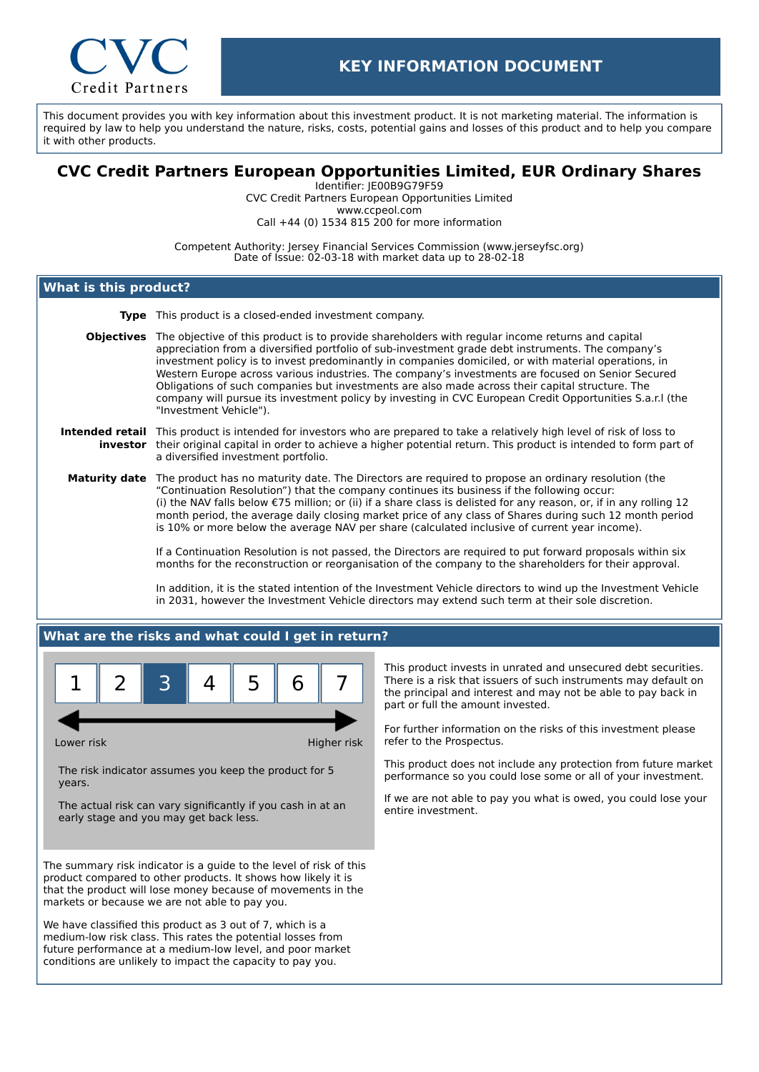

This document provides you with key information about this investment product. It is not marketing material. The information is required by law to help you understand the nature, risks, costs, potential gains and losses of this product and to help you compare it with other products.

# **CVC Credit Partners European Opportunities Limited, EUR Ordinary Shares**

Identifier: JE00B9G79F59 CVC Credit Partners European Opportunities Limited www.ccpeol.com Call +44 (0) 1534 815 200 for more information

Competent Authority: Jersey Financial Services Commission (www.jerseyfsc.org) Date of Issue: 02-03-18 with market data up to 28-02-18

## **What is this product?**

- **Type** This product is a closed-ended investment company.
- **Objectives** The objective of this product is to provide shareholders with regular income returns and capital appreciation from a diversified portfolio of sub-investment grade debt instruments. The company's investment policy is to invest predominantly in companies domiciled, or with material operations, in Western Europe across various industries. The company's investments are focused on Senior Secured Obligations of such companies but investments are also made across their capital structure. The company will pursue its investment policy by investing in CVC European Credit Opportunities S.a.r.l (the "Investment Vehicle").

#### **Intended retail** This product is intended for investors who are prepared to take a relatively high level of risk of loss to **investor** their original capital in order to achieve a higher potential return. This product is intended to form part of a diversified investment portfolio.

**Maturity date** The product has no maturity date. The Directors are required to propose an ordinary resolution (the "Continuation Resolution") that the company continues its business if the following occur: (i) the NAV falls below €75 million; or (ii) if a share class is delisted for any reason, or, if in any rolling 12 month period, the average daily closing market price of any class of Shares during such 12 month period is 10% or more below the average NAV per share (calculated inclusive of current year income).

> If a Continuation Resolution is not passed, the Directors are required to put forward proposals within six months for the reconstruction or reorganisation of the company to the shareholders for their approval.

In addition, it is the stated intention of the Investment Vehicle directors to wind up the Investment Vehicle in 2031, however the Investment Vehicle directors may extend such term at their sole discretion.

## **What are the risks and what could I get in return?**



Lower risk **Higher risk** Higher risk

The risk indicator assumes you keep the product for 5 years.

The actual risk can vary significantly if you cash in at an early stage and you may get back less.

The summary risk indicator is a guide to the level of risk of this product compared to other products. It shows how likely it is that the product will lose money because of movements in the markets or because we are not able to pay you.

We have classified this product as 3 out of 7, which is a medium-low risk class. This rates the potential losses from future performance at a medium-low level, and poor market conditions are unlikely to impact the capacity to pay you.

This product invests in unrated and unsecured debt securities. There is a risk that issuers of such instruments may default on the principal and interest and may not be able to pay back in part or full the amount invested.

For further information on the risks of this investment please refer to the Prospectus.

This product does not include any protection from future market performance so you could lose some or all of your investment.

If we are not able to pay you what is owed, you could lose your entire investment.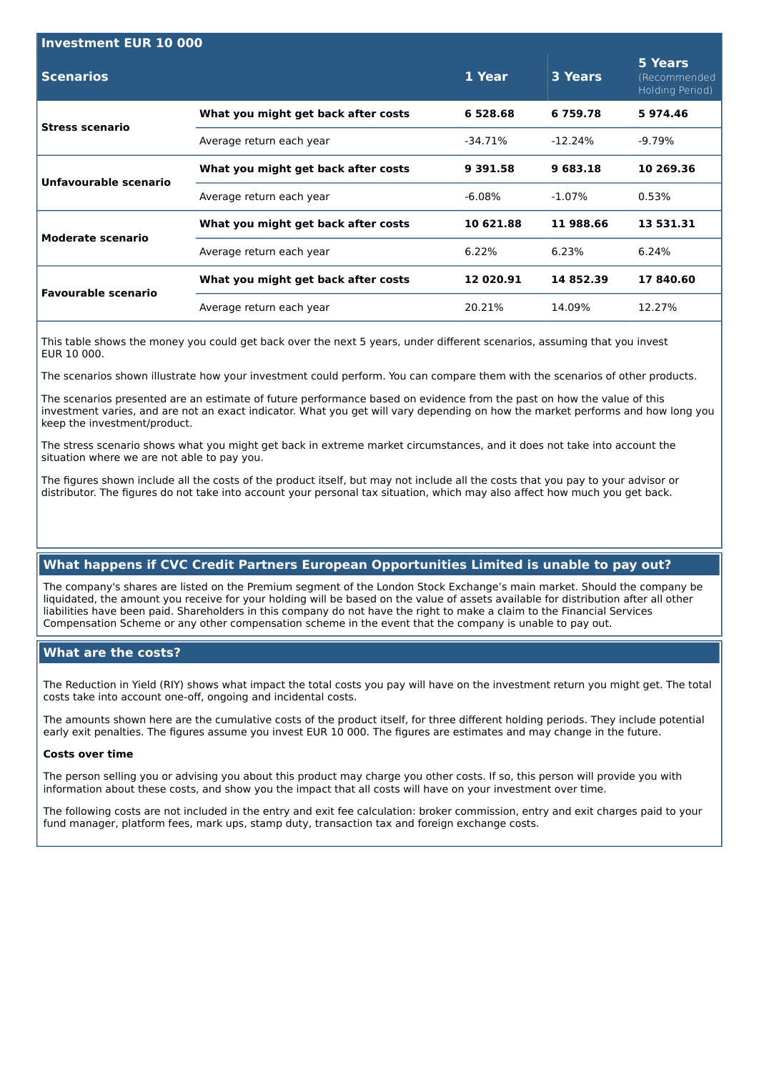| <b>Investment EUR 10 000</b> |                                     |           |           |                                            |  |
|------------------------------|-------------------------------------|-----------|-----------|--------------------------------------------|--|
| <b>Scenarios</b>             |                                     | 1 Year    | 3 Years   | 5 Years<br>(Recommended<br>Holding Period) |  |
| <b>Stress scenario</b>       | What you might get back after costs | 6 528.68  | 6759.78   | 5974.46                                    |  |
|                              | Average return each year            | -34.71%   | $-12.24%$ | -9.79%                                     |  |
| Unfavourable scenario        | What you might get back after costs | 9 391.58  | 9 683.18  | 10 269.36                                  |  |
|                              | Average return each year            | $-6.08\%$ | $-1.07\%$ | 0.53%                                      |  |
| Moderate scenario            | What you might get back after costs | 10 621.88 | 11 988.66 | 13 531.31                                  |  |
|                              | Average return each year            | $6.22\%$  | 6.23%     | 6.24%                                      |  |
| <b>Favourable scenario</b>   | What you might get back after costs | 12 020.91 | 14 852.39 | 17840.60                                   |  |
|                              | Average return each year            | 20.21%    | 14.09%    | 12.27%                                     |  |
|                              |                                     |           |           |                                            |  |

This table shows the money you could get back over the next 5 years, under different scenarios, assuming that you invest EUR 10 000.

The scenarios shown illustrate how your investment could perform. You can compare them with the scenarios of other products.

The scenarios presented are an estimate of future performance based on evidence from the past on how the value of this investment varies, and are not an exact indicator. What you get will vary depending on how the market performs and how long you keep the investment/product.

The stress scenario shows what you might get back in extreme market circumstances, and it does not take into account the situation where we are not able to pay you.

The figures shown include all the costs of the product itself, but may not include all the costs that you pay to your advisor or distributor. The figures do not take into account your personal tax situation, which may also affect how much you get back.

## **What happens if CVC Credit Partners European Opportunities Limited is unable to pay out?**

The company's shares are listed on the Premium segment of the London Stock Exchange's main market. Should the company be liquidated, the amount you receive for your holding will be based on the value of assets available for distribution after all other liabilities have been paid. Shareholders in this company do not have the right to make a claim to the Financial Services Compensation Scheme or any other compensation scheme in the event that the company is unable to pay out.

## **What are the costs?**

The Reduction in Yield (RIY) shows what impact the total costs you pay will have on the investment return you might get. The total costs take into account one-off, ongoing and incidental costs.

The amounts shown here are the cumulative costs of the product itself, for three different holding periods. They include potential early exit penalties. The figures assume you invest EUR 10 000. The figures are estimates and may change in the future.

#### **Costs over time**

The person selling you or advising you about this product may charge you other costs. If so, this person will provide you with information about these costs, and show you the impact that all costs will have on your investment over time.

The following costs are not included in the entry and exit fee calculation: broker commission, entry and exit charges paid to your fund manager, platform fees, mark ups, stamp duty, transaction tax and foreign exchange costs.